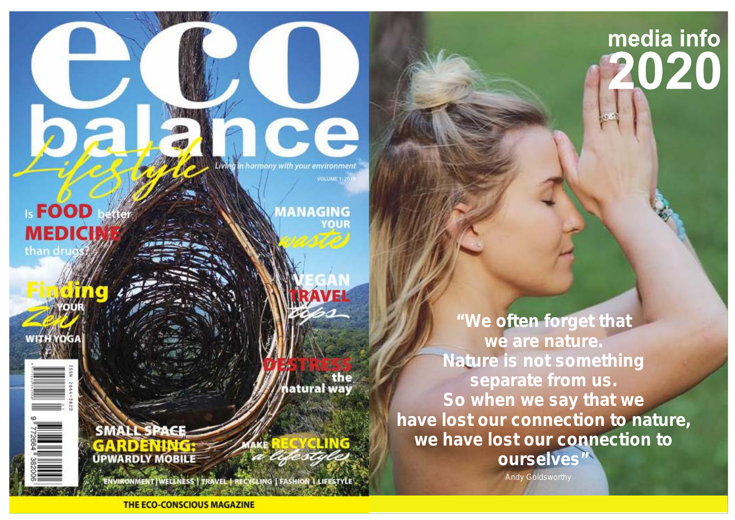# media info 020

Living in harmony with your environment VOLUME 1:20

**MANAGING** 

iatural way

**I-FOOD MEDICI** than drugs

> **"We often forget that we are nature. Nature is not something separate from us. So when we say that we have lost our connection to nature, we have lost our connection to ourselves"**

> > *Andy Goldsworthy*

ENVIRONMENT | WELLNESS | TRAVEL | RECYCLING | FASHION LLIFESTYLE

**THE ECO-CONSCIOUS MAGAZINE** 

**SMALL SPAC** 

**UPWARDLY MOBILI**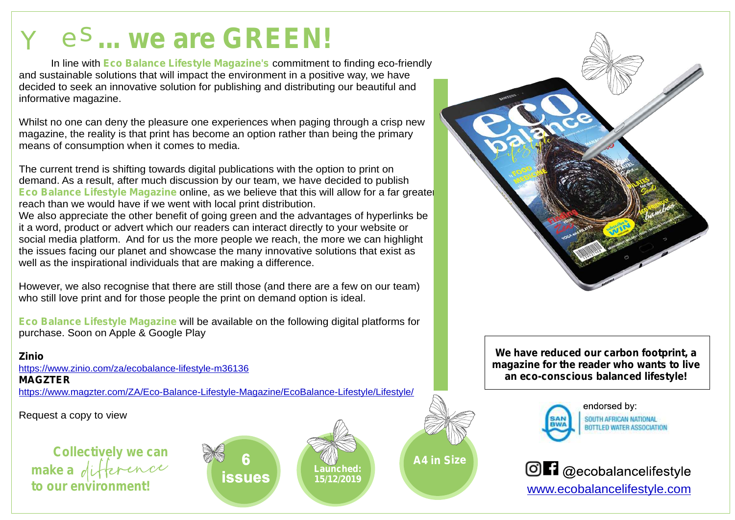## $Y$  e<sup>S</sup>... we are GREEN!

In line with Eco Balance Lifestyle Magazine's commitment to finding eco-friendly and sustainable solutions that will impact the environment in a positive way, we have decided to seek an innovative solution for publishing and distributing our beautiful and informative magazine.

Whilst no one can deny the pleasure one experiences when paging through a crisp new magazine, the reality is that print has become an option rather than being the primary means of consumption when it comes to media.

The current trend is shifting towards digital publications with the option to print on demand. As a result, after much discussion by our team, we have decided to publish **Eco Balance Lifestyle Magazine** online, as we believe that this will allow for a far greater reach than we would have if we went with local print distribution. We also appreciate the other benefit of going green and the advantages of hyperlinks be it a word, product or advert which our readers can interact directly to your website or social media platform. And for us the more people we reach, the more we can highlight the issues facing our planet and showcase the many innovative solutions that exist as well as the inspirational individuals that are making a difference.

However, we also recognise that there are still those (and there are a few on our team) who still love print and for those people the print on demand option is ideal.

**Eco Balance Lifestyle Magazine** will be available on the following digital platforms for purchase. Soon on Apple & Google Play

**Zinio MAGZTER** htt[ps://www.zinio.com/za/ecobalance-lifestyle-m36136](https://www.zinio.com/za/ecobalance-lifestyle-m36136) htt[ps://www.magzter.com/ZA/Eco-Balance-Lifestyle-Magazine/EcoBalance-Lifestyle/Lifestyle/](https://www.magzter.com/ZA/Eco-Balance-Lifestyle-Magazine/EcoBalance-Lifestyle/Lifestyle/)

Request a copy to view

**A4 in Size Collectively** we can **the set of the size of the size of the size of the size of the size of the size of the size of the size of the size of the size of the size of the size of the size of the size of the siz make a to our environment!**

**issues** 

**Launched: 15/12/2019**

**We have reduced our carbon footprint, a magazine for the reader who wants to live an eco-conscious balanced lifestyle!**



endorsed by: SOUTH AFRICAN NATIONAL **BOTTLED WATER ASSOCIATION** 

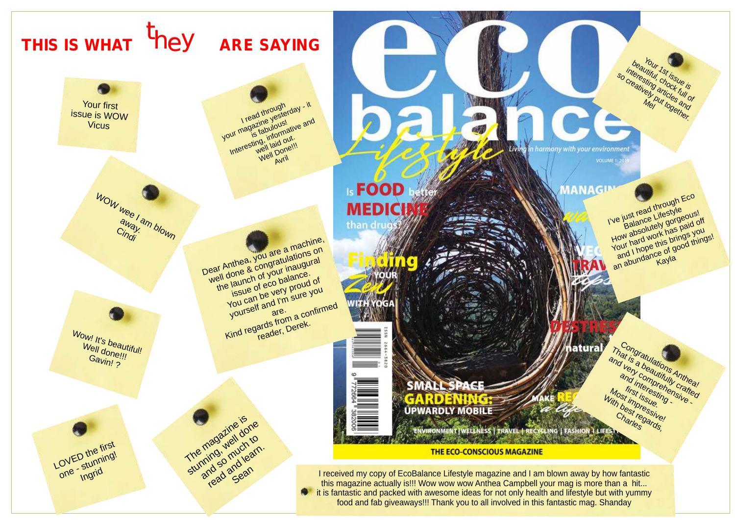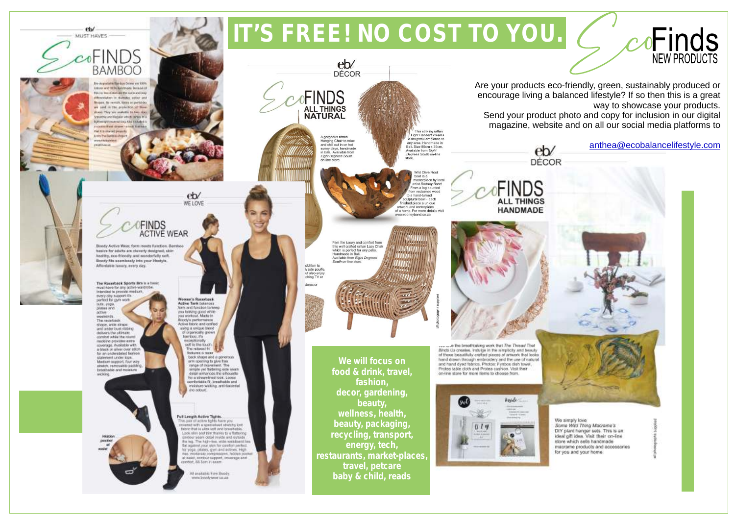